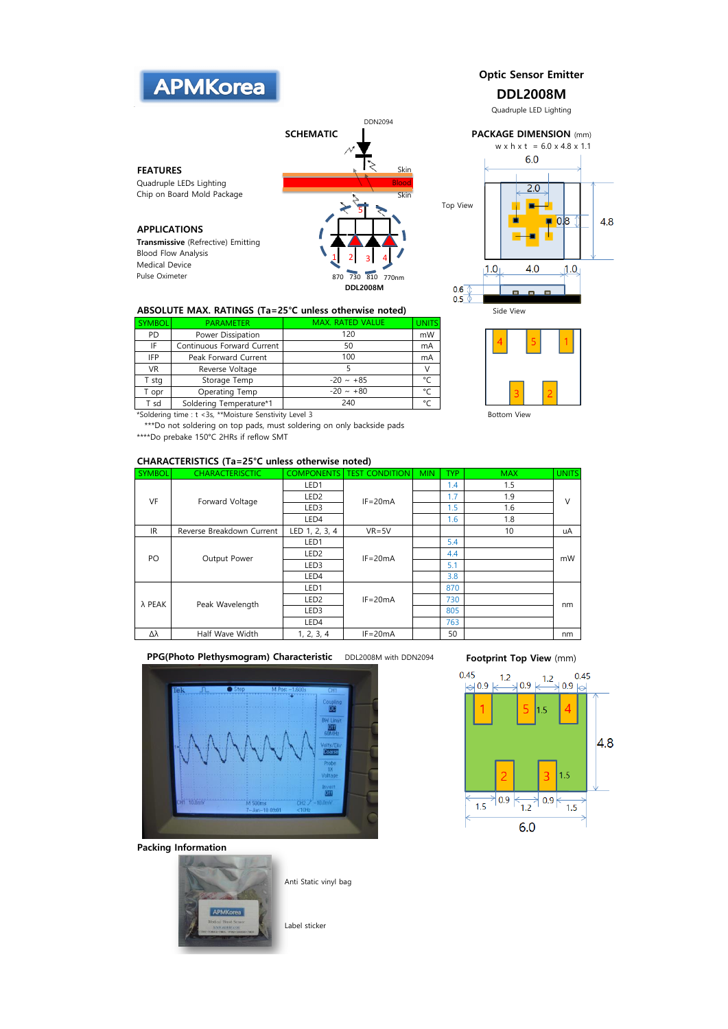

## ABSOLUTE MAX. RATINGS (Ta=25°C unless otherwise noted) Side View

| <b>SYMBOL</b> | <b>PARAMETER</b>           | <b>MAX. RATED VALUE</b> | <b>UNITS</b> |
|---------------|----------------------------|-------------------------|--------------|
| PD            | Power Dissipation          | 120                     | mW           |
| IF            | Continuous Forward Current | 50                      | mA           |
| <b>IFP</b>    | Peak Forward Current       | 100                     | mA           |
| <b>VR</b>     | Reverse Voltage            |                         |              |
| T sta         | Storage Temp               | $-20 \sim +85$          | $\sim$       |
| opr           | Operating Temp             | $-20 \sim +80$          |              |
| T sd          | Soldering Temperature*1    | 240                     |              |

\*Soldering time : t <3s, \*\*Moisture Senstivity Level 3 Bottom View

\*\*\*Do not soldering on top pads, must soldering on only backside pads \*\*\*\*Do prebake 150°C 2HRs if reflow SMT

## CHARACTERISTICS (Ta=25°C unless otherwise noted)

| <b>SYMBOL</b> | <b>CHARACTERISCTIC</b>    | <b>COMPONENTS</b> | <b>TEST CONDITION</b> | <b>MIN</b> | TYP. | <b>MAX</b> | <b>UNITS</b> |
|---------------|---------------------------|-------------------|-----------------------|------------|------|------------|--------------|
| VF            | Forward Voltage           | LED1              | $IF = 20mA$           |            | 1.4  | 1.5        | V            |
|               |                           | LED <sub>2</sub>  |                       |            | 1.7  | 1.9        |              |
|               |                           | LED3              |                       |            | 1.5  | 1.6        |              |
|               |                           | LED4              |                       |            | 1.6  | 1.8        |              |
| <b>IR</b>     | Reverse Breakdown Current | LED 1, 2, 3, 4    | $VR = 5V$             |            |      | 10         | uA           |
| PO            | Output Power              | LED1              | $IF = 20mA$           |            | 5.4  |            | mW           |
|               |                           | LED <sub>2</sub>  |                       |            | 4.4  |            |              |
|               |                           | LED3              |                       |            | 5.1  |            |              |
|               |                           | LED4              |                       |            | 3.8  |            |              |
| λ PEAK        | Peak Wavelength           | LED1              | $IF = 20mA$           |            | 870  |            | nm           |
|               |                           | LED <sub>2</sub>  |                       |            | 730  |            |              |
|               |                           | LED3              |                       |            | 805  |            |              |
|               |                           | LED4              |                       |            | 763  |            |              |
| Δλ            | Half Wave Width           | 1, 2, 3, 4        | $IF = 20mA$           |            | 50   |            | nm           |

PPG(Photo Plethysmogram) Characteristic DDL2008M with DDN2094



Packing Information



Anti Static vinyl bag

Label sticker

## Footprint Top View (mm)